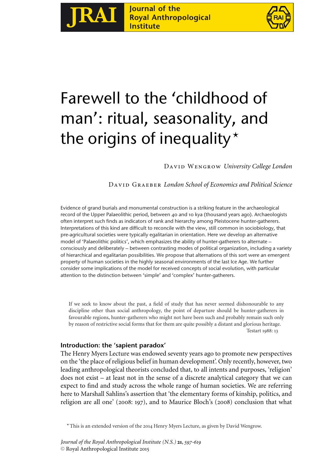



# Farewell to the 'childhood of man': ritual, seasonality, and the origins of inequality\*

# David Wengrow *University College London*

David Graeber *London School of Economics and Political Science*

Evidence of grand burials and monumental construction is a striking feature in the archaeological record of the Upper Palaeolithic period, between 40 and 10 kya (thousand years ago). Archaeologists often interpret such finds as indicators of rank and hierarchy among Pleistocene hunter-gatherers. Interpretations of this kind are difficult to reconcile with the view, still common in sociobiology, that pre-agricultural societies were typically egalitarian in orientation. Here we develop an alternative model of 'Palaeolithic politics', which emphasizes the ability of hunter-gatherers to alternate – consciously and deliberately – between contrasting modes of political organization, including a variety of hierarchical and egalitarian possibilities. We propose that alternations of this sort were an emergent property of human societies in the highly seasonal environments of the last Ice Age. We further consider some implications of the model for received concepts of social evolution, with particular attention to the distinction between 'simple' and 'complex' hunter-gatherers.

If we seek to know about the past, a field of study that has never seemed dishonourable to any discipline other than social anthropology, the point of departure should be hunter-gatherers in favourable regions, hunter-gatherers who might not have been such and probably remain such only by reason of restrictive social forms that for them are quite possibly a distant and glorious heritage. Testart 1988: 13

# **Introduction: the 'sapient paradox'**

The Henry Myers Lecture was endowed seventy years ago to promote new perspectives on the 'the place of religious belief in human development'. Only recently, however, two leading anthropological theorists concluded that, to all intents and purposes, 'religion' does not exist – at least not in the sense of a discrete analytical category that we can expect to find and study across the whole range of human societies. We are referring here to Marshall Sahlins's assertion that 'the elementary forms of kinship, politics, and religion are all one' (2008: 197), and to Maurice Bloch's (2008) conclusion that what

<sup>-</sup>This is an extended version of the 2014 Henry Myers Lecture, as given by David Wengrow.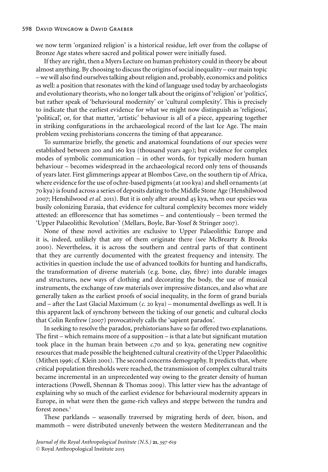we now term 'organized religion' is a historical residue, left over from the collapse of Bronze Age states where sacred and political power were initially fused.

If they are right, then a Myers Lecture on human prehistory could in theory be about almost anything. By choosing to discuss the origins of social inequality – our main topic – we will also find ourselves talking about religion and, probably, economics and politics as well: a position that resonates with the kind of language used today by archaeologists and evolutionary theorists, who no longer talk about the origins of 'religion' or 'politics', but rather speak of 'behavioural modernity' or 'cultural complexity'. This is precisely to indicate that the earliest evidence for what we might now distinguish as 'religious', 'political', or, for that matter, 'artistic' behaviour is all of a piece, appearing together in striking configurations in the archaeological record of the last Ice Age. The main problem vexing prehistorians concerns the timing of that appearance.

To summarize briefly, the genetic and anatomical foundations of our species were established between 200 and 160 kya (thousand years ago); but evidence for complex modes of symbolic communication – in other words, for typically modern human behaviour – becomes widespread in the archaeological record only tens of thousands of years later. First glimmerings appear at Blombos Cave, on the southern tip of Africa, where evidence for the use of ochre-based pigments (at 100 kya) and shell ornaments (at 70 kya) is found across a series of deposits dating to the Middle Stone Age (Henshilwood 2007; Henshilwood *et al.* 2011). But it is only after around 45 kya, when our species was busily colonizing Eurasia, that evidence for cultural complexity becomes more widely attested: an efflorescence that has sometimes – and contentiously – been termed the 'Upper Palaeolithic Revolution' (Mellars, Boyle, Bar-Yosef & Stringer 2007).

None of these novel activities are exclusive to Upper Palaeolithic Europe and it is, indeed, unlikely that any of them originate there (see McBrearty & Brooks 2000). Nevertheless, it is across the southern and central parts of that continent that they are currently documented with the greatest frequency and intensity. The activities in question include the use of advanced toolkits for hunting and handicrafts, the transformation of diverse materials (e.g. bone, clay, fibre) into durable images and structures, new ways of clothing and decorating the body, the use of musical instruments, the exchange of raw materials over impressive distances, and also what are generally taken as the earliest proofs of social inequality, in the form of grand burials and – after the Last Glacial Maximum (*c*. 20 kya) – monumental dwellings as well. It is this apparent lack of synchrony between the ticking of our genetic and cultural clocks that Colin Renfrew (2007) provocatively calls the 'sapient paradox'.

In seeking to resolve the paradox, prehistorians have so far offered two explanations. The first – which remains more of a supposition – is that a late but significant mutation took place in the human brain between *c*.70 and 50 kya, generating new cognitive resources that made possible the heightened cultural creativity of the Upper Palaeolithic (Mithen 1996; cf. Klein 2001). The second concerns demography. It predicts that, where critical population thresholds were reached, the transmission of complex cultural traits became incremental in an unprecedented way owing to the greater density of human interactions (Powell, Shennan & Thomas 2009). This latter view has the advantage of explaining why so much of the earliest evidence for behavioural modernity appears in Europe, in what were then the game-rich valleys and steppe between the tundra and forest zones.<sup>1</sup>

These parklands – seasonally traversed by migrating herds of deer, bison, and mammoth – were distributed unevenly between the western Mediterranean and the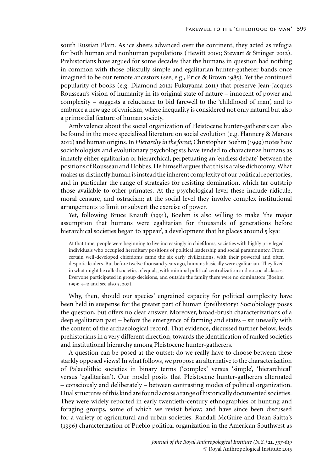south Russian Plain. As ice sheets advanced over the continent, they acted as refugia for both human and nonhuman populations (Hewitt 2000; Stewart & Stringer 2012). Prehistorians have argued for some decades that the humans in question had nothing in common with those blissfully simple and egalitarian hunter-gatherer bands once imagined to be our remote ancestors (see, e.g., Price & Brown 1985). Yet the continued popularity of books (e.g. Diamond 2012; Fukuyama 2011) that preserve Jean-Jacques Rousseau's vision of humanity in its original state of nature – innocent of power and complexity – suggests a reluctance to bid farewell to the 'childhood of man', and to embrace a new age of cynicism, where inequality is considered not only natural but also a primordial feature of human society.

Ambivalence about the social organization of Pleistocene hunter-gatherers can also be found in the more specialized literature on social evolution (e.g. Flannery & Marcus 2012) and human origins. In*Hierarchy inthe forest*, Christopher Boehm (1999) notes how sociobiologists and evolutionary psychologists have tended to characterize humans as innately either egalitarian or hierarchical, perpetuating an 'endless debate' between the positions of Rousseau and Hobbes. He himself argues that this is afalse dichotomy.What makes us distinctly human is instead the inherent complexity of our political repertories, and in particular the range of strategies for resisting domination, which far outstrip those available to other primates. At the psychological level these include ridicule, moral censure, and ostracism; at the social level they involve complex institutional arrangements to limit or subvert the exercise of power.

Yet, following Bruce Knauft (1991), Boehm is also willing to make 'the major assumption that humans were egalitarian for thousands of generations before hierarchical societies began to appear', a development that he places around 5 kya:

At that time, people were beginning to live increasingly in chiefdoms, societies with highly privileged individuals who occupied hereditary positions of political leadership and social paramountcy. From certain well-developed chiefdoms came the six early civilizations, with their powerful and often despotic leaders. But before twelve thousand years ago, humans basically were egalitarian. They lived in what might be called societies of equals, with minimal political centralization and no social classes. Everyone participated in group decisions, and outside the family there were no dominators (Boehm 1999: 3–4; and see also 5, 207).

Why, then, should our species' engrained capacity for political complexity have been held in suspense for the greater part of human (pre)history? Sociobiology poses the question, but offers no clear answer. Moreover, broad-brush characterizations of a deep egalitarian past – before the emergence of farming and states – sit uneasily with the content of the archaeological record. That evidence, discussed further below, leads prehistorians in a very different direction, towards the identification of ranked societies and institutional hierarchy among Pleistocene hunter-gatherers.

A question can be posed at the outset: do we really have to choose between these starkly opposed views? In what follows, we propose an alternative to the characterization of Palaeolithic societies in binary terms ('complex' versus 'simple', 'hierarchical' versus 'egalitarian'). Our model posits that Pleistocene hunter-gatherers alternated – consciously and deliberately – between contrasting modes of political organization. Dual structures of this kind arefound across a range of historically documented societies. They were widely reported in early twentieth-century ethnographies of hunting and foraging groups, some of which we revisit below; and have since been discussed for a variety of agricultural and urban societies. Randall McGuire and Dean Saitta's (1996) characterization of Pueblo political organization in the American Southwest as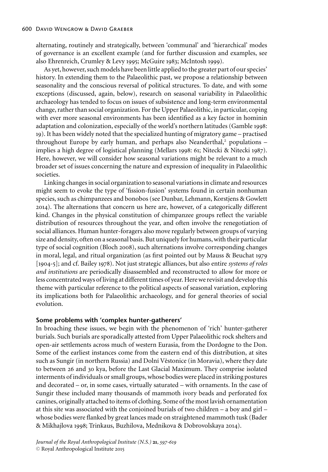alternating, routinely and strategically, between 'communal' and 'hierarchical' modes of governance is an excellent example (and for further discussion and examples, see also Ehrenreich, Crumley & Levy 1995; McGuire 1983; McIntosh 1999).

As yet, however, such models have been little applied to the greater part of our species' history. In extending them to the Palaeolithic past, we propose a relationship between seasonality and the conscious reversal of political structures. To date, and with some exceptions (discussed, again, below), research on seasonal variability in Palaeolithic archaeology has tended to focus on issues of subsistence and long-term environmental change, rather than social organization. For the Upper Palaeolithic, in particular, coping with ever more seasonal environments has been identified as a key factor in hominin adaptation and colonization, especially of the world's northern latitudes (Gamble 1998: 19). It has been widely noted that the specialized hunting of migratory game – practised throughout Europe by early human, and perhaps also Neanderthal, $\alpha$  populations – implies a high degree of logistical planning (Mellars 1998: 61; Nitecki & Nitecki 1987). Here, however, we will consider how seasonal variations might be relevant to a much broader set of issues concerning the nature and expression of inequality in Palaeolithic societies.

Linking changes in social organization to seasonal variations in climate and resources might seem to evoke the type of 'fission-fusion' systems found in certain nonhuman species, such as chimpanzees and bonobos (see Dunbar, Lehmann, Korstjens & Gowlett 2014). The alternations that concern us here are, however, of a categorically different kind. Changes in the physical constitution of chimpanzee groups reflect the variable distribution of resources throughout the year, and often involve the renegotiation of social alliances. Human hunter-foragers also move regularly between groups of varying size and density, often on a seasonal basis. But uniquelyfor humans, with their particular type of social cognition (Bloch 2008), such alternations involve corresponding changes in moral, legal, and ritual organization (as first pointed out by Mauss & Beuchat 1979 [1904-5]; and cf. Bailey 1978). Not just strategic alliances, but also entire *systems of roles and institutions* are periodically disassembled and reconstructed to allow for more or less concentrated ways of living at different times of year. Here we revisit and develop this theme with particular reference to the political aspects of seasonal variation, exploring its implications both for Palaeolithic archaeology, and for general theories of social evolution.

# **Some problems with 'complex hunter-gatherers'**

In broaching these issues, we begin with the phenomenon of 'rich' hunter-gatherer burials. Such burials are sporadically attested from Upper Palaeolithic rock shelters and open-air settlements across much of western Eurasia, from the Dordogne to the Don. Some of the earliest instances come from the eastern end of this distribution, at sites such as Sungir (in northern Russia) and Dolní Věstonice (in Moravia), where they date to between 26 and 30 kya, before the Last Glacial Maximum. They comprise isolated interments of individuals or small groups, whose bodies were placed in striking postures and decorated – or, in some cases, virtually saturated – with ornaments. In the case of Sungir these included many thousands of mammoth ivory beads and perforated fox canines, originally attached to items of clothing. Some of the most lavish ornamentation at this site was associated with the conjoined burials of two children – a boy and girl – whose bodies were flanked by great lances made on straightened mammoth tusk (Bader & Mikhajlova 1998; Trinkaus, Buzhilova, Mednikova & Dobrovolskaya 2014).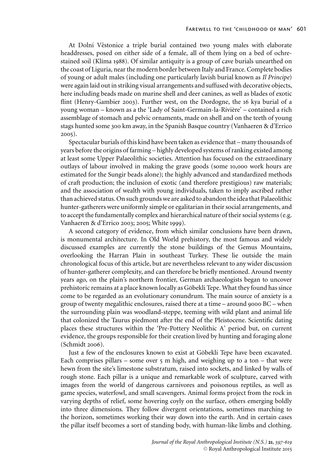At Dolní Věstonice a triple burial contained two young males with elaborate headdresses, posed on either side of a female, all of them lying on a bed of ochrestained soil (Klíma 1988). Of similar antiquity is a group of cave burials unearthed on the coast of Liguria, near the modern border between Italy and France. Complete bodies of young or adult males (including one particularly lavish burial known as *Il Principe*) were again laid out in striking visual arrangements and suffused with decorative objects, here including beads made on marine shell and deer canines, as well as blades of exotic flint (Henry-Gambier 2003). Further west, on the Dordogne, the 16 kya burial of a young woman – known as a the 'Lady of Saint-Germain-la-Riviere' – contained a rich ` assemblage of stomach and pelvic ornaments, made on shell and on the teeth of young stags hunted some 300 km away, in the Spanish Basque country (Vanhaeren & d'Errico 2005).

Spectacular burials of this kind have been taken as evidence that – many thousands of years before the origins of farming – highly developed systems of ranking existed among at least some Upper Palaeolithic societies. Attention has focused on the extraordinary outlays of labour involved in making the grave goods (some 10,000 work hours are estimated for the Sungir beads alone); the highly advanced and standardized methods of craft production; the inclusion of exotic (and therefore prestigious) raw materials; and the association of wealth with young individuals, taken to imply ascribed rather than achieved status. On such grounds we are asked to abandon the idea that Palaeolithic hunter-gatherers were uniformly simple or egalitarian in their social arrangements, and to accept the fundamentally complex and hierarchical nature of their social systems (e.g. Vanhaeren & d'Errico 2003; 2005; White 1999).

A second category of evidence, from which similar conclusions have been drawn, is monumental architecture. In Old World prehistory, the most famous and widely discussed examples are currently the stone buildings of the Gemus Mountains, overlooking the Harran Plain in southeast Turkey. These lie outside the main chronological focus of this article, but are nevertheless relevant to any wider discussion of hunter-gatherer complexity, and can therefore be briefly mentioned. Around twenty years ago, on the plain's northern frontier, German archaeologists began to uncover prehistoric remains at a place known locally as Göbekli Tepe. What they found has since come to be regarded as an evolutionary conundrum. The main source of anxiety is a group of twenty megalithic enclosures, raised there at a time – around 9000 BC – when the surrounding plain was woodland-steppe, teeming with wild plant and animal life that colonized the Taurus piedmont after the end of the Pleistocene. Scientific dating places these structures within the 'Pre-Pottery Neolithic A' period but, on current evidence, the groups responsible for their creation lived by hunting and foraging alone (Schmidt 2006).

Just a few of the enclosures known to exist at Göbekli Tepe have been excavated. Each comprises pillars – some over  $5$  m high, and weighing up to a ton – that were hewn from the site's limestone substratum, raised into sockets, and linked by walls of rough stone. Each pillar is a unique and remarkable work of sculpture, carved with images from the world of dangerous carnivores and poisonous reptiles, as well as game species, waterfowl, and small scavengers. Animal forms project from the rock in varying depths of relief, some hovering coyly on the surface, others emerging boldly into three dimensions. They follow divergent orientations, sometimes marching to the horizon, sometimes working their way down into the earth. And in certain cases the pillar itself becomes a sort of standing body, with human-like limbs and clothing.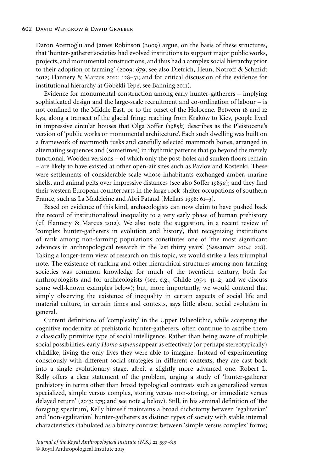Daron Acemoğlu and James Robinson (2009) argue, on the basis of these structures, that 'hunter-gatherer societies had evolved institutions to support major public works, projects, and monumental constructions, and thus had a complex social hierarchy prior to their adoption of farming' (2009: 679; see also Dietrich, Heun, Notroff & Schmidt 2012; Flannery & Marcus 2012: 128–31; and for critical discussion of the evidence for institutional hierarchy at Göbekli Tepe, see Banning 2011).

Evidence for monumental construction among early hunter-gatherers – implying sophisticated design and the large-scale recruitment and co-ordination of labour – is not confined to the Middle East, or to the onset of the Holocene. Between 18 and 12 kya, along a transect of the glacial fringe reaching from Kraków to Kiev, people lived in impressive circular houses that Olga Soffer (1985*b*) describes as the Pleistocene's version of 'public works or monumental architecture'. Each such dwelling was built on a framework of mammoth tusks and carefully selected mammoth bones, arranged in alternating sequences and (sometimes) in rhythmic patterns that go beyond the merely functional. Wooden versions – of which only the post-holes and sunken floors remain – are likely to have existed at other open-air sites such as Pavlov and Kostenki. These were settlements of considerable scale whose inhabitants exchanged amber, marine shells, and animal pelts over impressive distances (see also Soffer 1985*a*); and they find their western European counterparts in the large rock-shelter occupations of southern France, such as La Madeleine and Abri Pataud (Mellars 1998: 61–3).

Based on evidence of this kind, archaeologists can now claim to have pushed back the record of institutionalized inequality to a very early phase of human prehistory (cf. Flannery & Marcus 2012). We also note the suggestion, in a recent review of 'complex hunter-gatherers in evolution and history', that recognizing institutions of rank among non-farming populations constitutes one of 'the most significant advances in anthropological research in the last thirty years' (Sassaman 2004: 228). Taking a longer-term view of research on this topic, we would strike a less triumphal note. The existence of ranking and other hierarchical structures among non-farming societies was common knowledge for much of the twentieth century, both for anthropologists and for archaeologists (see, e.g., Childe 1954: 41–2; and we discuss some well-known examples below); but, more importantly, we would contend that simply observing the existence of inequality in certain aspects of social life and material culture, in certain times and contexts, says little about social evolution in general.

Current definitions of 'complexity' in the Upper Palaeolithic, while accepting the cognitive modernity of prehistoric hunter-gatherers, often continue to ascribe them a classically primitive type of social intelligence. Rather than being aware of multiple social possibilities, early *Homo sapiens* appear as effectively (or perhaps stereotypically) childlike, living the only lives they were able to imagine. Instead of experimenting consciously with different social strategies in different contexts, they are cast back into a single evolutionary stage, albeit a slightly more advanced one. Robert L. Kelly offers a clear statement of the problem, urging a study of 'hunter-gatherer prehistory in terms other than broad typological contrasts such as generalized versus specialized, simple versus complex, storing versus non-storing, or immediate versus delayed return' (2013: 275; and see note 4 below). Still, in his seminal definition of 'the foraging spectrum', Kelly himself maintains a broad dichotomy between 'egalitarian' and 'non-egalitarian' hunter-gatherers as distinct types of society with stable internal characteristics (tabulated as a binary contrast between 'simple versus complex' forms;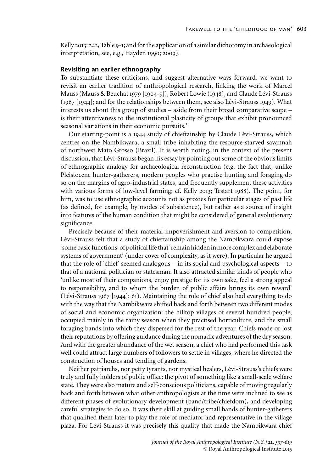Kelly 2013: 242, Table 9-1; and for the application of a similar dichotomy in archaeological interpretation, see, e.g., Hayden 1990; 2009).

# **Revisiting an earlier ethnography**

To substantiate these criticisms, and suggest alternative ways forward, we want to revisit an earlier tradition of anthropological research, linking the work of Marcel Mauss (Mauss & Beuchat 1979 [1904-5]), Robert Lowie (1948), and Claude Lévi-Strauss  $(1967 \mid 1944]$ ; and for the relationships between them, see also Lévi-Strauss  $1949$ ). What interests us about this group of studies – aside from their broad comparative scope – is their attentiveness to the institutional plasticity of groups that exhibit pronounced seasonal variations in their economic pursuits.<sup>3</sup>

Our starting-point is a 1944 study of chieftainship by Claude Lévi-Strauss, which centres on the Nambikwara, a small tribe inhabiting the resource-starved savannah of northwest Mato Grosso (Brazil). It is worth noting, in the context of the present discussion, that Lévi-Strauss began his essay by pointing out some of the obvious limits of ethnographic analogy for archaeological reconstruction (e.g. the fact that, unlike Pleistocene hunter-gatherers, modern peoples who practise hunting and foraging do so on the margins of agro-industrial states, and frequently supplement these activities with various forms of low-level farming; cf. Kelly 2013; Testart 1988). The point, for him, was to use ethnographic accounts not as proxies for particular stages of past life (as defined, for example, by modes of subsistence), but rather as a source of insight into features of the human condition that might be considered of general evolutionary significance.

Precisely because of their material impoverishment and aversion to competition, Lévi-Strauss felt that a study of chieftainship among the Nambikwara could expose 'some basic functions' of political life that 'remain hidden in more complex and elaborate systems of government' (under cover of complexity, as it were). In particular he argued that the role of 'chief' seemed analogous – in its social and psychological aspects – to that of a national politician or statesman. It also attracted similar kinds of people who 'unlike most of their companions, enjoy prestige for its own sake, feel a strong appeal to responsibility, and to whom the burden of public affairs brings its own reward' (Lévi-Strauss 1967 [1944]: 61). Maintaining the role of chief also had everything to do with the way that the Nambikwara shifted back and forth between two different modes of social and economic organization: the hilltop villages of several hundred people, occupied mainly in the rainy season when they practised horticulture, and the small foraging bands into which they dispersed for the rest of the year. Chiefs made or lost their reputations by offering guidance during the nomadic adventures of the dry season. And with the greater abundance of the wet season, a chief who had performed this task well could attract large numbers of followers to settle in villages, where he directed the construction of houses and tending of gardens.

Neither patriarchs, nor petty tyrants, nor mystical healers, Lévi-Strauss's chiefs were truly and fully holders of public office: the pivot of something like a small-scale welfare state. They were also mature and self-conscious politicians, capable of moving regularly back and forth between what other anthropologists at the time were inclined to see as different phases of evolutionary development (band/tribe/chiefdom), and developing careful strategies to do so. It was their skill at guiding small bands of hunter-gatherers that qualified them later to play the role of mediator and representative in the village plaza. For Lévi-Strauss it was precisely this quality that made the Nambikwara chief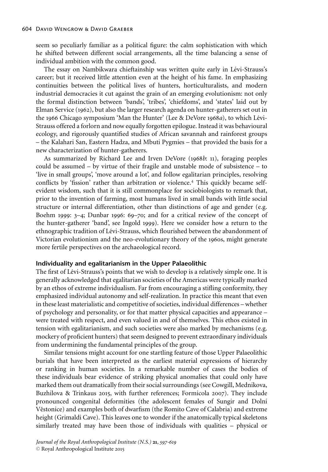seem so peculiarly familiar as a political figure: the calm sophistication with which he shifted between different social arrangements, all the time balancing a sense of individual ambition with the common good.

The essay on Nambikwara chieftainship was written quite early in Lévi-Strauss's career; but it received little attention even at the height of his fame. In emphasizing continuities between the political lives of hunters, horticulturalists, and modern industrial democracies it cut against the grain of an emerging evolutionism: not only the formal distinction between 'bands', 'tribes', 'chiefdoms', and 'states' laid out by Elman Service (1962), but also the larger research agenda on hunter-gatherers set out in the 1966 Chicago symposium 'Man the Hunter' (Lee & DeVore 1968a), to which Lévi-Strauss offered a forlorn and now equally forgotten epilogue. Instead it was behavioural ecology, and rigorously quantified studies of African savannah and rainforest groups – the Kalahari San, Eastern Hadza, and Mbuti Pygmies – that provided the basis for a new characterization of hunter-gatherers.

As summarized by Richard Lee and Irven DeVore (1968*b*: 11), foraging peoples could be assumed – by virtue of their fragile and unstable mode of subsistence – to 'live in small groups', 'move around a lot', and follow egalitarian principles, resolving conflicts by 'fission' rather than arbitration or violence.<sup>4</sup> This quickly became selfevident wisdom, such that it is still commonplace for sociobiologists to remark that, prior to the invention of farming, most humans lived in small bands with little social structure or internal differentiation, other than distinctions of age and gender (e.g. Boehm 1999: 3–4; Dunbar 1996: 69–70; and for a critical review of the concept of the hunter-gatherer 'band', see Ingold 1999). Here we consider how a return to the ethnographic tradition of Lévi-Strauss, which flourished between the abandonment of Victorian evolutionism and the neo-evolutionary theory of the 1960s, might generate more fertile perspectives on the archaeological record.

## **Individuality and egalitarianism in the Upper Palaeolithic**

The first of Lévi-Strauss's points that we wish to develop is a relatively simple one. It is generally acknowledged that egalitarian societies of the Americas were typically marked by an ethos of extreme individualism. Far from encouraging a stifling conformity, they emphasized individual autonomy and self-realization. In practice this meant that even in these least materialistic and competitive of societies, individual differences – whether of psychology and personality, or for that matter physical capacities and appearance – were treated with respect, and even valued in and of themselves. This ethos existed in tension with egalitarianism, and such societies were also marked by mechanisms (e.g. mockery of proficient hunters) that seem designed to prevent extraordinary individuals from undermining the fundamental principles of the group.

Similar tensions might account for one startling feature of those Upper Palaeolithic burials that have been interpreted as the earliest material expressions of hierarchy or ranking in human societies. In a remarkable number of cases the bodies of these individuals bear evidence of striking physical anomalies that could only have marked them out dramatically from their social surroundings (see Cowgill, Mednikova, Buzhilova & Trinkaus 2015, with further references; Formicola 2007). They include pronounced congenital deformities (the adolescent females of Sungir and Dolní Věstonice) and examples both of dwarfism (the Romito Cave of Calabria) and extreme height (Grimaldi Cave). This leaves one to wonder if the anatomically typical skeletons similarly treated may have been those of individuals with qualities – physical or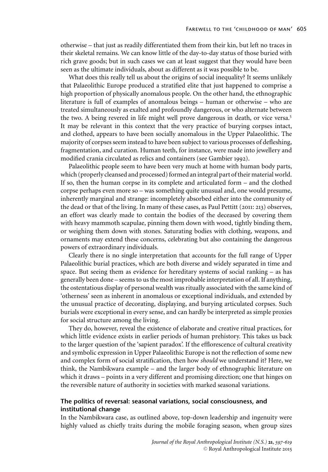otherwise – that just as readily differentiated them from their kin, but left no traces in their skeletal remains. We can know little of the day-to-day status of those buried with rich grave goods; but in such cases we can at least suggest that they would have been seen as the ultimate individuals, about as different as it was possible to be.

What does this really tell us about the origins of social inequality? It seems unlikely that Palaeolithic Europe produced a stratified elite that just happened to comprise a high proportion of physically anomalous people. On the other hand, the ethnographic literature is full of examples of anomalous beings – human or otherwise – who are treated simultaneously as exalted and profoundly dangerous, or who alternate between the two. A being revered in life might well prove dangerous in death, or vice versa.<sup>5</sup> It may be relevant in this context that the very practice of burying corpses intact, and clothed, appears to have been socially anomalous in the Upper Palaeolithic. The majority of corpses seem instead to have been subject to various processes of defleshing, fragmentation, and curation. Human teeth, for instance, were made into jewellery and modified crania circulated as relics and containers (see Gambier 1992).

Palaeolithic people seem to have been very much at home with human body parts, which (properly cleansed and processed) formed an integral part of their material world. If so, then the human corpse in its complete and articulated form – and the clothed corpse perhaps even more so – was something quite unusual and, one would presume, inherently marginal and strange: incompletely absorbed either into the community of the dead or that of the living. In many of these cases, as Paul Pettitt (2011: 213) observes, an effort was clearly made to contain the bodies of the deceased by covering them with heavy mammoth scapulae, pinning them down with wood, tightly binding them, or weighing them down with stones. Saturating bodies with clothing, weapons, and ornaments may extend these concerns, celebrating but also containing the dangerous powers of extraordinary individuals.

Clearly there is no single interpretation that accounts for the full range of Upper Palaeolithic burial practices, which are both diverse and widely separated in time and space. But seeing them as evidence for hereditary systems of social ranking – as has generally been done – seems to us the most improbable interpretation of all. If anything, the ostentatious display of personal wealth was ritually associated with the same kind of 'otherness' seen as inherent in anomalous or exceptional individuals, and extended by the unusual practice of decorating, displaying, and burying articulated corpses. Such burials were exceptional in every sense, and can hardly be interpreted as simple proxies for social structure among the living.

They do, however, reveal the existence of elaborate and creative ritual practices, for which little evidence exists in earlier periods of human prehistory. This takes us back to the larger question of the 'sapient paradox'. If the efflorescence of cultural creativity and symbolic expression in Upper Palaeolithic Europe is not the reflection of some new and complex form of social stratification, then how *should* we understand it? Here, we think, the Nambikwara example – and the larger body of ethnographic literature on which it draws – points in a very different and promising direction; one that hinges on the reversible nature of authority in societies with marked seasonal variations.

# **The politics of reversal: seasonal variations, social consciousness, and institutional change**

In the Nambikwara case, as outlined above, top-down leadership and ingenuity were highly valued as chiefly traits during the mobile foraging season, when group sizes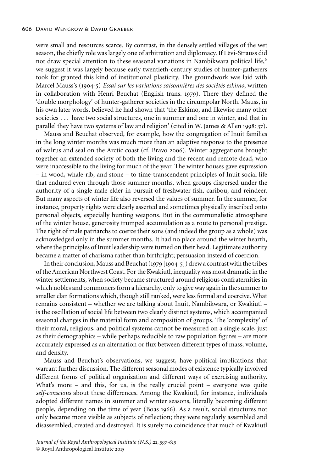were small and resources scarce. By contrast, in the densely settled villages of the wet season, the chiefly role was largely one of arbitration and diplomacy. If Lévi-Strauss did not draw special attention to these seasonal variations in Nambikwara political life,<sup>6</sup> we suggest it was largely because early twentieth-century studies of hunter-gatherers took for granted this kind of institutional plasticity. The groundwork was laid with Marcel Mauss's (1904-5) *Essai sur les variations saisonnières des sociétés eskimo*, written in collaboration with Henri Beuchat (English trans. 1979). There they defined the 'double morphology' of hunter-gatherer societies in the circumpolar North. Mauss, in his own later words, believed he had shown that 'the Eskimo, and likewise many other societies . . . have two social structures, one in summer and one in winter, and that in parallel they have two systems of law and religion' (cited in W. James & Allen 1998: 37).

Mauss and Beuchat observed, for example, how the congregation of Inuit families in the long winter months was much more than an adaptive response to the presence of walrus and seal on the Arctic coast (cf. Bravo 2006). Winter aggregations brought together an extended society of both the living and the recent and remote dead, who were inaccessible to the living for much of the year. The winter houses gave expression – in wood, whale-rib, and stone – to time-transcendent principles of Inuit social life that endured even through those summer months, when groups dispersed under the authority of a single male elder in pursuit of freshwater fish, caribou, and reindeer. But many aspects of winter life also reversed the values of summer. In the summer, for instance, property rights were clearly asserted and sometimes physically inscribed onto personal objects, especially hunting weapons. But in the communalistic atmosphere of the winter house, generosity trumped accumulation as a route to personal prestige. The right of male patriarchs to coerce their sons (and indeed the group as a whole) was acknowledged only in the summer months. It had no place around the winter hearth, where the principles of Inuit leadership were turned on their head. Legitimate authority became a matter of charisma rather than birthright; persuasion instead of coercion.

In their conclusion, Mauss and Beuchat (1979 [1904-5]) drew a contrast with the tribes of the American Northwest Coast. For the Kwakiutl, inequality was most dramatic in the winter settlements, when society became structured around religious confraternities in which nobles and commoners form a hierarchy, only to give way again in the summer to smaller clan formations which, though still ranked, were less formal and coercive. What remains consistent – whether we are talking about Inuit, Nambikwara, or Kwakiutl – is the oscillation of social life between two clearly distinct systems, which accompanied seasonal changes in the material form and composition of groups. The 'complexity' of their moral, religious, and political systems cannot be measured on a single scale, just as their demographics – while perhaps reducible to raw population figures – are more accurately expressed as an alternation or flux between different types of mass, volume, and density.

Mauss and Beuchat's observations, we suggest, have political implications that warrant further discussion. The different seasonal modes of existence typically involved different forms of political organization and different ways of exercising authority. What's more – and this, for us, is the really crucial point – everyone was quite *self-conscious* about these differences. Among the Kwakiutl, for instance, individuals adopted different names in summer and winter seasons, literally becoming different people, depending on the time of year (Boas 1966). As a result, social structures not only became more visible as subjects of reflection; they were regularly assembled and disassembled, created and destroyed. It is surely no coincidence that much of Kwakiutl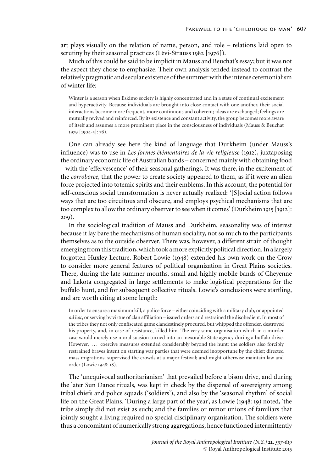art plays visually on the relation of name, person, and role – relations laid open to scrutiny by their seasonal practices (Lévi-Strauss  $1982$  [1976]).

Much of this could be said to be implicit in Mauss and Beuchat's essay; but it was not the aspect they chose to emphasize. Their own analysis tended instead to contrast the relatively pragmatic and secular existence of the summer with the intense ceremonialism of winter life:

Winter is a season when Eskimo society is highly concentrated and in a state of continual excitement and hyperactivity. Because individuals are brought into close contact with one another, their social interactions become more frequent, more continuous and coherent; ideas are exchanged; feelings are mutually revived and reinforced. By its existence and constant activity, the group becomes more aware of itself and assumes a more prominent place in the consciousness of individuals (Mauss & Beuchat 1979 [1904-5]: 76).

One can already see here the kind of language that Durkheim (under Mauss's influence) was to use in *Les formes élémentaires de la vie religieuse* (1912), juxtaposing the ordinary economic life of Australian bands – concerned mainly with obtaining food – with the 'effervescence' of their seasonal gatherings. It was there, in the excitement of the *corroboree*, that the power to create society appeared to them, as if it were an alien force projected into totemic spirits and their emblems. In this account, the potential for self-conscious social transformation is never actually realized: '[S]ocial action follows ways that are too circuitous and obscure, and employs psychical mechanisms that are too complex to allow the ordinary observer to see when it comes' (Durkheim 1915[1912]: 209).

In the sociological tradition of Mauss and Durkheim, seasonality was of interest because it lay bare the mechanisms of human sociality, not so much to the participants themselves as to the outside observer. There was, however, a different strain of thought emerging from this tradition, which took a more explicitly political direction. In a largely forgotten Huxley Lecture, Robert Lowie (1948) extended his own work on the Crow to consider more general features of political organization in Great Plains societies. There, during the late summer months, small and highly mobile bands of Cheyenne and Lakota congregated in large settlements to make logistical preparations for the buffalo hunt, and for subsequent collective rituals. Lowie's conclusions were startling, and are worth citing at some length:

In order to ensure a maximum kill, a police force – either coinciding with a military club, or appointed *ad hoc*, or serving by virtue of clan affiliation – issued orders and restrained the disobedient. In most of the tribes they not only confiscated game clandestinely procured, but whipped the offender, destroyed his property, and, in case of resistance, killed him. The very same organisation which in a murder case would merely use moral suasion turned into an inexorable State agency during a buffalo drive. However, . . . coercive measures extended considerably beyond the hunt: the soldiers also forcibly restrained braves intent on starting war parties that were deemed inopportune by the chief; directed mass migrations; supervised the crowds at a major festival; and might otherwise maintain law and order (Lowie 1948: 18).

The 'unequivocal authoritarianism' that prevailed before a bison drive, and during the later Sun Dance rituals, was kept in check by the dispersal of sovereignty among tribal chiefs and police squads ('soldiers'), and also by the 'seasonal rhythm' of social life on the Great Plains. 'During a large part of the year', as Lowie (1948: 19) noted, 'the tribe simply did not exist as such; and the families or minor unions of familiars that jointly sought a living required no special disciplinary organisation. The soldiers were thus a concomitant of numerically strong aggregations, hence functioned intermittently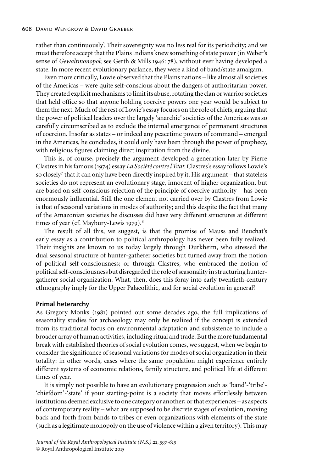rather than continuously'. Their sovereignty was no less real for its periodicity; and we must therefore accept that the Plains Indians knew something of state power (in Weber's sense of *Gewaltmonopol*; see Gerth & Mills 1946: 78), without ever having developed a state. In more recent evolutionary parlance, they were a kind of band/state amalgam.

Even more critically, Lowie observed that the Plains nations – like almost all societies of the Americas – were quite self-conscious about the dangers of authoritarian power. They created explicit mechanisms to limit its abuse, rotating the clan or warrior societies that held office so that anyone holding coercive powers one year would be subject to them the next. Much of the rest of Lowie's essay focuses on the role of chiefs, arguing that the power of political leaders over the largely 'anarchic' societies of the Americas was so carefully circumscribed as to exclude the internal emergence of permanent structures of coercion. Insofar as states – or indeed any peacetime powers of command – emerged in the Americas, he concludes, it could only have been through the power of prophecy, with religious figures claiming direct inspiration from the divine.

This is, of course, precisely the argument developed a generation later by Pierre Clastres in his famous (1974) essay *La Société contre l'État*. Clastres's essay follows Lowie's so closely<sup>7</sup> that it can only have been directly inspired by it. His argument – that stateless societies do not represent an evolutionary stage, innocent of higher organization, but are based on self-conscious rejection of the principle of coercive authority – has been enormously influential. Still the one element not carried over by Clastres from Lowie is that of seasonal variations in modes of authority; and this despite the fact that many of the Amazonian societies he discusses did have very different structures at different times of year (cf. Maybury-Lewis 1979).<sup>8</sup>

The result of all this, we suggest, is that the promise of Mauss and Beuchat's early essay as a contribution to political anthropology has never been fully realized. Their insights are known to us today largely through Durkheim, who stressed the dual seasonal structure of hunter-gatherer societies but turned away from the notion of political self-consciousness; or through Clastres, who embraced the notion of political self-consciousness but disregarded the role of seasonality in structuring huntergatherer social organization. What, then, does this foray into early twentieth-century ethnography imply for the Upper Palaeolithic, and for social evolution in general?

# **Primal heterarchy**

As Gregory Monks (1981) pointed out some decades ago, the full implications of seasonality studies for archaeology may only be realized if the concept is extended from its traditional focus on environmental adaptation and subsistence to include a broader array of human activities, including ritual and trade. But the more fundamental break with established theories of social evolution comes, we suggest, when we begin to consider the significance of seasonal variations for modes of social organization in their totality: in other words, cases where the same population might experience entirely different systems of economic relations, family structure, and political life at different times of year.

It is simply not possible to have an evolutionary progression such as 'band'-'tribe'- 'chiefdom'-'state' if your starting-point is a society that moves effortlessly between institutions deemed exclusive to one category or another; or that experiences – as aspects of contemporary reality – what are supposed to be discrete stages of evolution, moving back and forth from bands to tribes or even organizations with elements of the state (such as a legitimate monopoly on the use of violence within a given territory). This may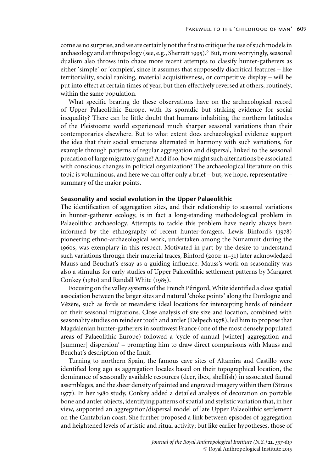come as no surprise, and we are certainly not the first to critique the use of such models in archaeology and anthropology (see, e.g., Sherratt 1995).<sup>9</sup> But, more worryingly, seasonal dualism also throws into chaos more recent attempts to classify hunter-gatherers as either 'simple' or 'complex', since it assumes that supposedly diacritical features – like territoriality, social ranking, material acquisitiveness, or competitive display – will be put into effect at certain times of year, but then effectively reversed at others, routinely, within the same population.

What specific bearing do these observations have on the archaeological record of Upper Palaeolithic Europe, with its sporadic but striking evidence for social inequality? There can be little doubt that humans inhabiting the northern latitudes of the Pleistocene world experienced much sharper seasonal variations than their contemporaries elsewhere. But to what extent does archaeological evidence support the idea that their social structures alternated in harmony with such variations, for example through patterns of regular aggregation and dispersal, linked to the seasonal predation of large migratory game? And if so, how might such alternations be associated with conscious changes in political organization? The archaeological literature on this topic is voluminous, and here we can offer only a brief – but, we hope, representative – summary of the major points.

# **Seasonality and social evolution in the Upper Palaeolithic**

The identification of aggregation sites, and their relationship to seasonal variations in hunter-gatherer ecology, is in fact a long-standing methodological problem in Palaeolithic archaeology. Attempts to tackle this problem have nearly always been informed by the ethnography of recent hunter-foragers. Lewis Binford's (1978) pioneering ethno-archaeological work, undertaken among the Nunamuit during the 1960s, was exemplary in this respect. Motivated in part by the desire to understand such variations through their material traces, Binford (2001: 11–31) later acknowledged Mauss and Beuchat's essay as a guiding influence. Mauss's work on seasonality was also a stimulus for early studies of Upper Palaeolithic settlement patterns by Margaret Conkey (1980) and Randall White (1985).

Focusing on the valley systems of the French Périgord, White identified a close spatial association between the larger sites and natural 'choke points' along the Dordogne and Vézère, such as fords or meanders: ideal locations for intercepting herds of reindeer on their seasonal migrations. Close analysis of site size and location, combined with seasonality studies on reindeer tooth and antler (Delpech 1978), led him to propose that Magdalenian hunter-gatherers in southwest France (one of the most densely populated areas of Palaeolithic Europe) followed a 'cycle of annual [winter] aggregation and [summer] dispersion' – prompting him to draw direct comparisons with Mauss and Beuchat's description of the Inuit.

Turning to northern Spain, the famous cave sites of Altamira and Castillo were identified long ago as aggregation locales based on their topographical location, the dominance of seasonally available resources (deer, ibex, shellfish) in associated faunal assemblages, and the sheer density of painted and engraved imagery within them (Straus 1977). In her 1980 study, Conkey added a detailed analysis of decoration on portable bone and antler objects, identifying patterns of spatial and stylistic variation that, in her view, supported an aggregation/dispersal model of late Upper Palaeolithic settlement on the Cantabrian coast. She further proposed a link between episodes of aggregation and heightened levels of artistic and ritual activity; but like earlier hypotheses, those of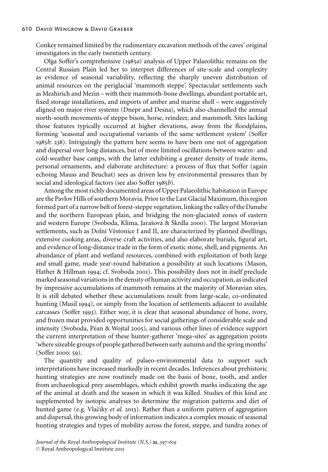Conkey remained limited by the rudimentary excavation methods of the caves' original investigators in the early twentieth century.

Olga Soffer's comprehensive (1985*a*) analysis of Upper Palaeolithic remains on the Central Russian Plain led her to interpret differences of site-scale and complexity as evidence of seasonal variability, reflecting the sharply uneven distribution of animal resources on the periglacial 'mammoth steppe'. Spectacular settlements such as Mezhirich and Mezin – with their mammoth-bone dwellings, abundant portable art, fixed storage installations, and imports of amber and marine shell – were suggestively aligned on major river systems (Dnepr and Desna), which also channelled the annual north-south movements of steppe bison, horse, reindeer, and mammoth. Sites lacking those features typically occurred at higher elevations, away from the floodplains, forming 'seasonal and occupational variants of the same settlement system' (Soffer 1985*b*: 238). Intriguingly the pattern here seems to have been one not of aggregation and dispersal over long distances, but of more limited oscillations between warm- and cold-weather base camps, with the latter exhibiting a greater density of trade items, personal ornaments, and elaborate architecture: a process of flux that Soffer (again echoing Mauss and Beuchat) sees as driven less by environmental pressures than by social and ideological factors (see also Soffer 1985*b*).

Among the most richly documented areas of Upper Palaeolithic habitation in Europe are the Pavlov Hills of southern Moravia. Prior to the Last Glacial Maximum, this region formed part of a narrow belt of forest-steppe vegetation, linking the valley of the Danube and the northern European plain, and bridging the non-glaciated zones of eastern and western Europe (Svoboda, Klíma, Jarašová & Škrdla 2000). The largest Moravian settlements, such as Dolní Věstonice I and II, are characterized by planned dwellings, extensive cooking areas, diverse craft activities, and also elaborate burials, figural art, and evidence of long-distance trade in the form of exotic stone, shell, and pigments. An abundance of plant and wetland resources, combined with exploitation of both large and small game, made year-round habitation a possibility at such locations (Mason, Hather & Hillman 1994; cf. Svoboda 2001). This possibility does not in itself preclude marked seasonal variations in the density of human activity and occupation, as indicated by impressive accumulations of mammoth remains at the majority of Moravian sites. It is still debated whether these accumulations result from large-scale, co-ordinated hunting (Musil 1994), or simply from the location of settlements adjacent to available carcasses (Soffer 1993). Either way, it is clear that seasonal abundance of bone, ivory, and frozen meat provided opportunities for social gatherings of considerable scale and intensity (Svoboda, Péan & Wojtal 2005), and various other lines of evidence support the current interpretation of these hunter-gatherer 'mega-sites' as aggregation points 'where sizeable groups of people gathered between early autumn and the spring months' (Soffer 2000: 59).

The quantity and quality of palaeo-environmental data to support such interpretations have increased markedly in recent decades. Inferences about prehistoric hunting strategies are now routinely made on the basis of bone, tooth, and antler from archaeological prey assemblages, which exhibit growth marks indicating the age of the animal at death and the season in which it was killed. Studies of this kind are supplemented by isotopic analyses to determine the migration patterns and diet of hunted game (e.g. Vlačiky *et al.* 2013). Rather than a uniform pattern of aggregation and dispersal, this growing body of information indicates a complex mosaic of seasonal hunting strategies and types of mobility across the forest, steppe, and tundra zones of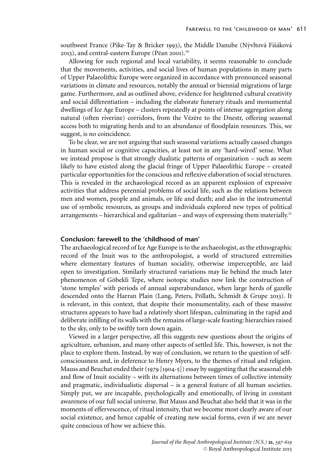southwest France (Pike-Tay & Bricker 1993), the Middle Danube (Nývltová Fišáková  $2013$ ), and central-eastern Europe (Péan  $2001$ ).<sup>10</sup>

Allowing for such regional and local variability, it seems reasonable to conclude that the movements, activities, and social lives of human populations in many parts of Upper Palaeolithic Europe were organized in accordance with pronounced seasonal variations in climate and resources, notably the annual or biennial migrations of large game. Furthermore, and as outlined above, evidence for heightened cultural creativity and social differentiation – including the elaborate funerary rituals and monumental dwellings of Ice Age Europe – clusters repeatedly at points of intense aggregation along natural (often riverine) corridors, from the Vézère to the Dnestr, offering seasonal access both to migrating herds and to an abundance of floodplain resources. This, we suggest, is no coincidence.

To be clear, we are not arguing that such seasonal variations actually caused changes in human social or cognitive capacities, at least not in any 'hard-wired' sense. What we instead propose is that strongly dualistic patterns of organization – such as seem likely to have existed along the glacial fringe of Upper Palaeolithic Europe – created particular opportunities for the conscious and reflexive elaboration of social structures. This is revealed in the archaeological record as an apparent explosion of expressive activities that address perennial problems of social life, such as the relations between men and women, people and animals, or life and death; and also in the instrumental use of symbolic resources, as groups and individuals explored new types of political arrangements – hierarchical and egalitarian – and ways of expressing them materially.<sup>11</sup>

# **Conclusion: farewell to the 'childhood of man'**

The archaeological record of Ice Age Europe is to the archaeologist, as the ethnographic record of the Inuit was to the anthropologist, a world of structured extremities where elementary features of human sociality, otherwise imperceptible, are laid open to investigation. Similarly structured variations may lie behind the much later phenomenon of Göbekli Tepe, where isotopic studies now link the construction of 'stone temples' with periods of annual superabundance, when large herds of gazelle descended onto the Harran Plain (Lang, Peters, Pöllath, Schmidt & Grupe 2013). It is relevant, in this context, that despite their monumentality, each of these massive structures appears to have had a relatively short lifespan, culminating in the rapid and deliberate infilling of its walls with the remains of large-scale feasting: hierarchies raised to the sky, only to be swiftly torn down again.

Viewed in a larger perspective, all this suggests new questions about the origins of agriculture, urbanism, and many other aspects of settled life. This, however, is not the place to explore them. Instead, by way of conclusion, we return to the question of selfconsciousness and, in deference to Henry Myers, to the themes of ritual and religion. Mauss and Beuchat ended their (1979 [1904-5]) essay by suggesting that the seasonal ebb and flow of Inuit sociality – with its alternations between times of collective intensity and pragmatic, individualistic dispersal – is a general feature of all human societies. Simply put, we are incapable, psychologically and emotionally, of living in constant awareness of our full social universe. But Mauss and Beuchat also held that it was in the moments of effervescence, of ritual intensity, that we become most clearly aware of our social existence, and hence capable of creating new social forms, even if we are never quite conscious of how we achieve this.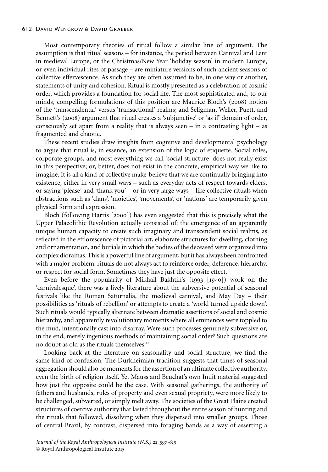Most contemporary theories of ritual follow a similar line of argument. The assumption is that ritual seasons – for instance, the period between Carnival and Lent in medieval Europe, or the Christmas/New Year 'holiday season' in modern Europe, or even individual rites of passage – are miniature versions of such ancient seasons of collective effervescence. As such they are often assumed to be, in one way or another, statements of unity and cohesion. Ritual is mostly presented as a celebration of cosmic order, which provides a foundation for social life. The most sophisticated and, to our minds, compelling formulations of this position are Maurice Bloch's (2008) notion of the 'transcendental' versus 'transactional' realms; and Seligman, Weller, Puett, and Bennett's (2008) argument that ritual creates a 'subjunctive' or 'as if' domain of order, consciously set apart from a reality that is always seen – in a contrasting light – as fragmented and chaotic.

These recent studies draw insights from cognitive and developmental psychology to argue that ritual is, in essence, an extension of the logic of etiquette. Social roles, corporate groups, and most everything we call 'social structure' does not really exist in this perspective; or, better, does not exist in the concrete, empirical way we like to imagine. It is all a kind of collective make-believe that we are continually bringing into existence, either in very small ways – such as everyday acts of respect towards elders, or saying 'please' and 'thank you' – or in very large ways – like collective rituals when abstractions such as 'clans', 'moieties', 'movements', or 'nations' are temporarily given physical form and expression.

Bloch (following Harris [2000]) has even suggested that this is precisely what the Upper Palaeolithic Revolution actually consisted of: the emergence of an apparently unique human capacity to create such imaginary and transcendent social realms, as reflected in the efflorescence of pictorial art, elaborate structures for dwelling, clothing and ornamentation, and burials in which the bodies of the deceased were organized into complex dioramas. This is a powerful line of argument, but it has always been confronted with a major problem: rituals do not always act to reinforce order, deference, hierarchy, or respect for social form. Sometimes they have just the opposite effect.

Even before the popularity of Mikhail Bakhtin's (1993 [1940]) work on the 'carnivalesque', there was a lively literature about the subversive potential of seasonal festivals like the Roman Saturnalia, the medieval carnival, and May Day – their possibilities as 'rituals of rebellion' or attempts to create a 'world turned upside down'. Such rituals would typically alternate between dramatic assertions of social and cosmic hierarchy, and apparently revolutionary moments where all eminences were toppled to the mud, intentionally cast into disarray. Were such processes genuinely subversive or, in the end, merely ingenious methods of maintaining social order? Such questions are no doubt as old as the rituals themselves.<sup>12</sup>

Looking back at the literature on seasonality and social structure, we find the same kind of confusion. The Durkheimian tradition suggests that times of seasonal aggregation should also be moments for the assertion of an ultimate collective authority, even the birth of religion itself. Yet Mauss and Beuchat's own Inuit material suggested how just the opposite could be the case. With seasonal gatherings, the authority of fathers and husbands, rules of property and even sexual propriety, were more likely to be challenged, subverted, or simply melt away. The societies of the Great Plains created structures of coercive authority that lasted throughout the entire season of hunting and the rituals that followed, dissolving when they dispersed into smaller groups. Those of central Brazil, by contrast, dispersed into foraging bands as a way of asserting a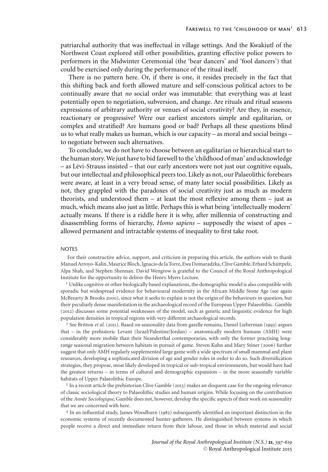patriarchal authority that was ineffectual in village settings. And the Kwakiutl of the Northwest Coast explored still other possibilities, granting effective police powers to performers in the Midwinter Ceremonial (the 'bear dancers' and 'fool dancers') that could be exercised only during the performance of the ritual itself.

There is no pattern here. Or, if there is one, it resides precisely in the fact that this shifting back and forth allowed mature and self-conscious political actors to be continually aware that *no* social order was immutable: that everything was at least potentially open to negotiation, subversion, and change. Are rituals and ritual seasons expressions of arbitrary authority or venues of social creativity? Are they, in essence, reactionary or progressive? Were our earliest ancestors simple and egalitarian, or complex and stratified? Are humans good or bad? Perhaps all these questions blind us to what really makes us human, which is our capacity – as moral and social beings – to negotiate between such alternatives.

To conclude, we do not have to choose between an egalitarian or hierarchical start to the human story.We just have to bid farewell to the 'childhood of man' and acknowledge – as Levi-Strauss insisted – that our early ancestors were not just our cognitive equals, ´ but our intellectual and philosophical peers too. Likely as not, our Palaeolithic forebears were aware, at least in a very broad sense, of many later social possibilities. Likely as not, they grappled with the paradoxes of social creativity just as much as modern theorists, and understood them – at least the most reflexive among them – just as much, which means also just as little. Perhaps this is what being 'intellectually modern' actually means. If there is a riddle here it is why, after millennia of constructing and disassembling forms of hierarchy, *Homo sapiens* – supposedly the wisest of apes – allowed permanent and intractable systems of inequality to first take root.

# NOTES

For their constructive advice, support, and criticism in preparing this article, the authors wish to thank Manuel Arroyo-Kalin,Maurice Bloch, Ignacio de la Torre, Ewa Domaradzka, Clive Gamble, Erhard Schuttpelz, ¨ Alpa Shah, and Stephen Shennan. David Wengrow is grateful to the Council of the Royal Anthropological Institute for the opportunity to deliver the Henry Myers Lecture.

<sup>1</sup> Unlike cognitive or other biologically based explanations, the demographic model is also compatible with sporadic but widespread evidence for behavioural modernity in the African Middle Stone Age (see again McBrearty & Brooks 2000), since what it seeks to explain is not the origin of the behaviours in question, but their peculiarly dense manifestation in the archaeological record of the European Upper Palaeolithic. Gamble (2012) discusses some potential weaknesses of the model, such as genetic and linguistic evidence for high population densities in tropical regions with very different archaeological records.

<sup>2</sup> See Britton *et al.* (2011). Based on seasonality data from gazelle remains, Daniel Lieberman (1993) argues that – in the prehistoric Levant (Israel/Palestine/Jordan) – anatomically modern humans (AMH) were considerably more mobile than their Neanderthal contemporaries, with only the former practising longrange seasonal migration between habitats in pursuit of game. Steven Kuhn and Mary Stiner (2006) further suggest that only AMH regularly supplemented large game with a wide spectrum of small mammal and plant resources, developing a sophisticated division of age and gender roles in order to do so. Such diversification strategies, they propose, most likely developed in tropical or sub-tropical environments, but would have had the greatest returns – in terms of cultural and demographic expansion – in the more seasonally variable habitats of Upper Palaeolithic Europe.

<sup>3</sup> In a recent article the prehistorian Clive Gamble (2013) makes an eloquent case for the ongoing relevance of classic sociological theory to Palaeolithic studies and human origins. While focusing on the contribution of the *Ann´ee Sociologique*, Gamble does not, however, develop the specific aspects of their work on seasonality that we are concerned with here.

<sup>4</sup> In an influential study, James Woodburn (1982) subsequently identified an important distinction in the economic systems of recently documented hunter-gatherers. He distinguished between systems in which people receive a direct and immediate return from their labour, and those in which material and social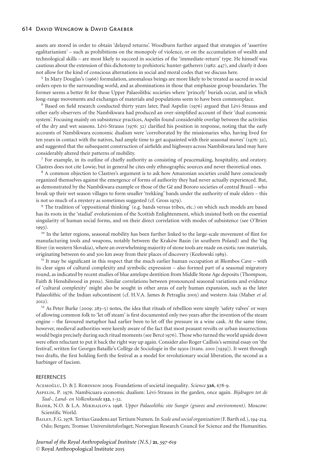## 614 David Wengrow & David Graeber

assets are stored in order to obtain 'delayed returns'. Woodburn further argued that strategies of 'assertive egalitarianism' – such as prohibitions on the monopoly of violence, or on the accumulation of wealth and technological skills – are most likely to succeed in societies of the 'immediate-return' type. He himself was cautious about the extension of this dichotomy to prehistoric hunter-gatherers (1982: 447), and clearly it does not allow for the kind of conscious alternations in social and moral codes that we discuss here.

<sup>5</sup> In Mary Douglas's (1966) formulation, anomalous beings are more likely to be treated as sacred in social orders open to the surrounding world, and as abominations in those that emphasize group boundaries. The former seems a better fit for those Upper Palaeolithic societies where 'princely' burials occur, and in which long-range movements and exchanges of materials and populations seem to have been commonplace.

 $6$  Based on field research conducted thirty years later, Paul Aspelin (1976) argued that Lévi-Strauss and other early observers of the Nambikwara had produced an over-simplified account of their 'dual economic system'. Focusing mainly on subsistence practices, Aspelin found considerable overlap between the activities of the dry and wet seasons. Lévi-Strauss (1976: 32) clarified his position in response, noting that the early accounts of Nambikwara economic dualism were 'corroborated by the missionaries who, having lived for ten years in contact with the natives, had ample time to get acquainted with their seasonal moves' (1976: 32), and suggested that the subsequent construction of airfields and highways across Nambikwara land may have considerably altered their patterns of mobility.

<sup>7</sup> For example, in its outline of chiefly authority as consisting of peacemaking, hospitality, and oratory. Clastres does not cite Lowie; but in general he cites only ethnographic sources and never theoretical ones.

<sup>8</sup> A common objection to Clastres's argument is to ask how Amazonian societies could have consciously organized themselves against the emergence of forms of authority they had never actually experienced. But, as demonstrated by the Nambikwara example or those of the Gê and Bororo societies of central Brazil – who break up their wet season villages to form smaller 'trekking' bands under the authority of male elders – this is not so much of a mystery as sometimes suggested (cf. Gross 1979).

<sup>9</sup> The tradition of 'oppositional thinking' (e.g. bands versus tribes, etc.) on which such models are based has its roots in the 'stadial' evolutionism of the Scottish Enlightenment, which insisted both on the essential singularity of human social forms, and on their direct correlation with modes of subsistence (see O'Brien 1993).

<sup>10</sup> In the latter regions, seasonal mobility has been further linked to the large-scale movement of flint for manufacturing tools and weapons, notably between the Kraków Basin (in southern Poland) and the Vag River (in western Slovakia), where an overwhelming majority of stone tools are made on exotic raw materials, originating between 60 and 300 km away from their places of discovery (Kozłowski 1989).

 $11$  It may be significant in this respect that the much earlier human occupation at Blombos Cave – with its clear signs of cultural complexity and symbolic expression – also formed part of a seasonal migratory round, as indicated by recent studies of blue antelope dentition from Middle Stone Age deposits (Thompson, Faith & Henshilwood in press). Similar correlations between pronounced seasonal variations and evidence of 'cultural complexity' might also be sought in other areas of early human expansion, such as the later Palaeolithic of the Indian subcontinent (cf. H.V.A. James & Petraglia 2005) and western Asia (Maher *et al.* 2012).

<sup>12</sup> As Peter Burke (2009: 283–5) notes, the idea that rituals of rebellion were simply 'safety valves' or ways of allowing common folk to 'let off steam' is first documented only two years after the invention of the steam engine – the favoured metaphor had earlier been to let off the pressure in a wine cask. At the same time, however, medieval authorities were keenly aware of the fact that most peasant revolts or urban insurrections would begin precisely during such ritual moments (see Bercé 1976). Those who turned the world upside down were often reluctant to put it back the right way up again. Consider also Roger Caillois's seminal essay on 'the festival', written for Georges Bataille's Collège de Sociologie in the 1930s (trans. 2001 [1939]). It went through two drafts, the first holding forth the festival as a model for revolutionary social liberation, the second as a harbinger of fascism.

#### REFERENCES

ACEMOĞLU, D. & J. ROBINSON 2009. Foundations of societal inequality. *Science* 326, 678-9.

- Aspelin, P. 1976. Nambicuara economic dualism: Lévi-Strauss in the garden, once again. *Bijdragen tot de Taal-, Land- en Volkenkunde* **132**, 1-32.
- Bader, N.O. & L.A. Mikhajlova 1998. *Upper Palaeolithic site Sungir (graves and environment)*. Moscow: Scientific World.
- Bailey, F.G. 1978. Tertius Gaudens aut Tertium Numen. In *Scale and social organization* (F. Barth ed.),194-214. Oslo; Bergen; Tromsø: Universitetsforlaget; Norwegian Research Council for Science and the Humanities.

*Journal of the Royal Anthropological Institute (N.S.)* **21**, *597-619* -<sup>C</sup> Royal Anthropological Institute 2015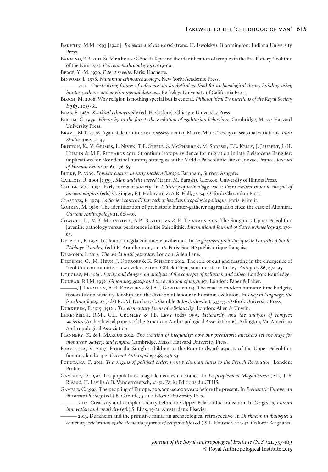- BAKHTIN, M.M. 1993 [1940]. *Rabelais and his world* (trans. H. Iswolsky). Bloomington: Indiana University Press.
- BANNING, E.B. 2011. So fair a house: Göbekli Tepe and the identification of temples in the Pre-Pottery Neolithic of the Near East. *Current Anthropology* **52**, 619-60.
- BERCÉ, Y.-M. 1976. Fête et révolte. Paris: Hachette.
- Binford, L. 1978. *Nunamiut ethnoarchaeology*. New York: Academic Press.
- ——— 2001. *Constructing frames of reference: an analytical method for archaeological theory building using hunter-gatherer and environmental data sets*. Berkeley: University of California Press.
- Bloch, M. 2008. Why religion is nothing special but is central. *Philosophical Transactions of the Royal Society B* **363**, 2055-61.
- Boas, F. 1966. *Kwakiutl ethnography* (ed. H. Codere). Chicago: University Press.
- Boehm, C. 1999. *Hierarchy in the forest: the evolution of egalitarian behaviour*. Cambridge, Mass.: Harvard University Press.
- Bravo, M.T. 2006. Against determinism: a reassessment of Marcel Mauss's essay on seasonal variations. *Inuit Studies* **30:2**, 33-49.
- Britton, K., V. Grimes, L. Niven, T.E. Steele, S. McPherron, M. Soressi, T.E. Kelly, J. Jaubert, J.-H. HUBLIN & M.P. RICHARDS 2011. Strontium isotope evidence for migration in late Pleistocene Rangifer: implications for Neanderthal hunting strategies at the Middle Palaeolithic site of Jonzac, France. *Journal of Human Evolution* **61**, 176-85.
- Burke, P. 2009. *Popular culture in early modern Europe*. Farnham, Surrey: Ashgate.
- Caillois, R. 2001 [1939]. *Man and the sacred* (trans. M. Barash). Glencoe: University of Illinois Press.
- Childe, V.G. 1954. Early forms of society. In *A history of technology, vol. 1: From earliest times to the fall of ancient empires* (eds) C. Singer, E.J. Holmyard & A.R. Hall, 38-54. Oxford: Clarendon Press.
- Clastres, P. 1974. *La Soci´et´e contre l'Etat: recherches d'anthropologie politique ´* . Paris: Minuit.
- Conkey, M. 1980. The identification of prehistoric hunter-gatherer aggregation sites: the case of Altamira. *Current Anthropology* **21**, 609-30.
- Cowgill, L., M.B. Mednikova, A.P. Buzhilova & E. Trinkaus 2015. The Sunghir 3 Upper Paleolithic juvenile: pathology versus persistence in the Paleolithic. *International Journal of Osteoarchaeology* **25**, 176- 87.
- DELPECH, F. 1978. Les faunes magdaléniennes et aziliennes. In Le gisement préhistorique de Duruthy à Sorde*l'Abbaye (Landes)* (ed.) R. Arambourou, 110-16. Paris: Société préhistorique française.
- Diamond, J. 2012. *The world until yesterday*. London: Allen Lane.
- DIETRICH, O., M. HEUN, J. NOTROFF & K. SCHMIDT 2012. The role of cult and feasting in the emergence of Neolithic communities: new evidence from Göbekli Tepe, south-eastern Turkey. Antiquity 86, 674-95.
- Douglas, M. 1966. *Purity and danger: an analysis of the concepts of pollution and taboo*. London: Routledge. Dunbar, R.I.M. 1996. *Grooming, gossip and the evolution of language*. London: Faber & Faber.
- ———, J. Lehmann, A.H. Korstjens & J.A.J. Gowlett 2014. The road to modern humans: time budgets, fission-fusion sociality, kinship and the division of labour in hominin evolution. In *Lucy to language: the benchmark papers* (eds) R.I.M. Dunbar, C. Gamble & J.A.J. Gowlett, 333-55. Oxford: University Press.
- DURKHEIM, É. 1915 <sup>[1912]</sup>. *The elementary forms of religious life*. London: Allen & Unwin.
- Ehrenreich, R.M., C.L. Crumley & J.E. Levy (eds) 1995. *Heterarchy and the analysis of complex societies* (Archeological papers of the American Anthropological Association **6**). Arlington, Va: American Anthropological Association.
- Flannery, K. & J. Marcus 2012. *The creation of inequality: how our prehistoric ancestors set the stage for monarchy, slavery, and empire*. Cambridge, Mass.: Harvard University Press.
- Formicola, V. 2007. From the Sunghir children to the Romito dwarf: aspects of the Upper Paleolithic funerary landscape. *Current Anthropology* **48**, 446-53.
- Fukuyama, F. 2011. *The origins of political order: from prehuman times to the French Revolution*. London: Profile.
- GAMBIER, D. 1992. Les populations magdaléniennes en France. In Le peuplement Magdalénien (eds) J.-P. Rigaud, H. Laville & B. Vandermeersch, 41-51. Paris: Editions du CTHS. ´
- Gamble, C. 1998. The peopling of Europe, 700,000-40,000 years before the present. In *Prehistoric Europe: an illustrated history* (ed.) B. Cunliffe, 5-41. Oxford: University Press.
- ——— 2012. Creativity and complex society before the Upper Palaeolithic transition. In *Origins of human innovation and creativity* (ed.) S. Elias, 15-21. Amsterdam: Elsevier.
- ——— 2013. Durkheim and the primitive mind: an archaeological retrospective. In *Durkheim in dialogue: a centenary celebration of the elementary forms of religious life* (ed.) S.L. Hausner, 124-42. Oxford: Berghahn.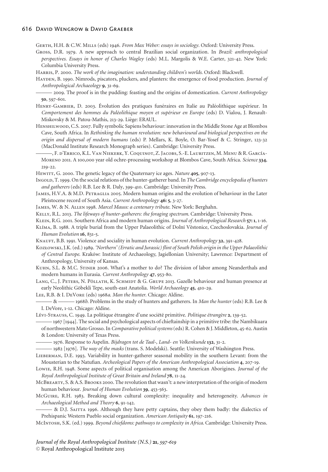### 616 David Wengrow & David Graeber

Gerth, H.H. & C.W. Mills (eds) 1946. *From Max Weber: essays in sociology*. Oxford: University Press.

Gross, D.R. 1979. A new approach to central Brazilian social organization. In *Brazil: anthropological perspectives. Essays in honor of Charles Wagley* (eds) M.L. Margolis & W.E. Carter, 321-42. New York: Columbia University Press.

Harris, P. 2000. *The work of the imagination: understanding children's worlds*. Oxford: Blackwell.

Hayden, B. 1990. Nimrods, piscators, pluckers, and planters: the emergence of food production. *Journal of Anthropological Archaeology* **9**, 31-69.

- HENRY-GAMBIER, D. 2003. Évolution des pratiques funéraires en Italie au Paléolithique supérieur. In *Comportement des hommes du Pal´eolithique moyen et sup´erieur en Europe* (eds) D. Vialou, J. Renault-Miskovsky & M. Patou-Mathis, 213-29. Liege: ERAUL. `
- Henshilwood, C.S. 2007. Fully symbolic Sapiens behaviour: innovation in the Middle Stone Age at Blombos Cave, South Africa. In *Rethinking the human revolution: new behavioural and biological perspectives on the origin and dispersal of modern humans* (eds) P. Mellars, K. Boyle, O. Bar-Yosef & C. Stringer, 123-32 (MacDonald Institute Research Monograph series). Cambridge: University Press.

———, F. d'Errico, K.L. Van Niekerk, Y. Coquinot, Z. Jacobs, S.-E. Lauritzen, M. Menu & R. Garcıa- ´ Moreno 2011. A 100,000 year old ochre-processing workshop at Blombos Cave, South Africa. *Science* **334**, 219-22.

HEWITT, G. 2000. The genetic legacy of the Quaternary ice ages. *Nature* 405, 907-13.

- Ingold, T. 1999. On the social relations of the hunter-gatherer band. In *The Cambridge encyclopedia of hunters and gatherers* (eds) R.B. Lee & R. Daly, 399-410. Cambridge: University Press.
- James, H.V.A. & M.D. Petraglia 2005. Modern human origins and the evolution of behaviour in the Later Pleistocene record of South Asia. *Current Anthropology* **46: 5**, 3-27.

James, W. & N. Allen 1998. *Marcel Mauss: a centenary tribute*. New York: Berghahn.

Kelly, R.L. 2013. *The lifeways of hunter-gatherers: the foraging spectrum*. Cambridge: University Press.

Klein, R.G. 2001. Southern Africa and modern human origins. *Journal of Anthropological Research* **57: 1**, 1-16. KLíma, B. 1988. A triple burial from the Upper Palaeolithic of Dolní Věstonice, Czechoslovakia. *Journal of Human Evolution* **16**, 831-5.

KNAUFT, B.B. 1991. Violence and sociality in human evolution. *Current Anthropology* 32, 391-428.

Kozłowski, J.K.(ed.)1989. *'Northern' (Erratic and Jurassic) flint of South Polish origin in the Upper Palaeolithic of Central Europe*. Kraków: Institute of Archaeology, Jagiellonian University; Lawrence: Department of Anthropology, University of Kansas.

- Kuhn, S.L. & M.C. Stiner 2006. What's a mother to do? The division of labor among Neanderthals and modern humans in Eurasia. *Current Anthropology* **47**, 953-80.
- LANG, C., J. PETERS, N. PÖLLATH, K. SCHMIDT & G. GRUPE 2013. Gazelle behaviour and human presence at early Neolithic Gobekli Tepe, south-east Anatolia. ¨ *World Archaeology* **45**, 410-29.

Lee, R.B. & I. DeVore (eds) 1968*a*. *Man the hunter*. Chicago: Aldine.

——— & ——— 1968*b*. Problems in the study of hunters and gatherers. In *Man the hunter* (eds) R.B. Lee & I. DeVore, 1-12. Chicago: Aldine.

Lévi-Strauss, C. 1949. La politique étrangère d'une société primitive. Politique étrangère 2, 139-52.

——— 1967 [1944]. The social and psychological aspects of chieftainship in a primitive tribe: the Nambikuara of northwestern Mato Grosso. In *Comparative political systems*(eds) R. Cohen & J. Middleton, 45-62. Austin & London: University of Texas Press.

——— 1976. Response to Aspelin. *Bijdragen tot de Taal-, Land- en Volkenkunde* **132**, 31-2.

——— 1982 [1976]. *The way of the masks* (trans. S. Modelski). Seattle: University of Washington Press.

Lieberman, D.E. 1993. Variability in hunter-gatherer seasonal mobility in the southern Levant: from the Mousterian to the Natufian. *Archeological Papers of the American Anthropological Association* **4**, 207-19.

- Lowie, R.H. 1948. Some aspects of political organisation among the American Aborigines. *Journal of the Royal Anthropological Institute of Great Britain and Ireland* **78**, 11-24.
- McBrearty, S. & A.S. Brooks 2000. The revolution that wasn't: a new interpretation of the origin of modern human behaviour. *Journal of Human Evolution* **39**, 453-563.
- McGuire, R.H. 1983. Breaking down cultural complexity: inequality and heterogeneity. *Advances in Archaeological Method and Theory* **6**, 91-142.
- ——— & D.J. Saitta 1996. Although they have petty captains, they obey them badly: the dialectics of Prehispanic Western Pueblo social organization. *American Antiquity* **61**, 197-216.

McIntosh, S.K. (ed.) 1999. *Beyond chiefdoms: pathways to complexity in Africa*. Cambridge: University Press.

<sup>———</sup> 2009. The proof is in the pudding: feasting and the origins of domestication. *Current Anthropology* **50**, 597-601.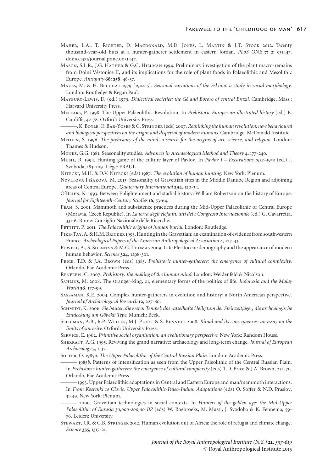- Maher, L.A., T. Richter, D. Macdonald, M.D. Jones, L. Martin & J.T. Stock 2012. Twenty thousand-year-old huts at a hunter-gatherer settlement in eastern Jordan. *PLoS ONE* **7: 2**: e31447. doi:10.1371/journal.pone.0031447.
- Mason, S.L.R., J.G. Hather & G.C. HILLMAN 1994. Preliminary investigation of the plant macro-remains from Dolní Věstonice II, and its implications for the role of plant foods in Palaeolithic and Mesolithic Europe. *Antiquity* **68: 258**, 48-57.
- Mauss, M. & H. Beuchat 1979 [1904-5]. *Seasonal variations of the Eskimo: a study in social morphology*. London: Routledge & Kegan Paul.
- Maybury-Lewis, D. (ed.) 1979. *Dialectical societies: the Gˆe and Bororo of central Brazil*. Cambridge, Mass.: Harvard University Press.
- Mellars, P. 1998. The Upper Palaeolithic Revolution. In *Prehistoric Europe: an illustrated history* (ed.) B. Cunliffe, 42-78. Oxford: University Press.

———, K. Boyle, O. Bar-Yosef & C. Stringer (eds) 2007.*Rethinking the human revolution: new behavioural and biological perspectives on the origin and dispersal of modern humans*. Cambridge: McDonald Institute.

- Mithen, S. 1996. *The prehistory of the mind: a search for the origins of art, science, and religion*. London: Thames & Hudson.
- Monks, G.G. 1981. Seasonality studies. *Advances in Archaeological Method and Theory* **4**, 177-240.
- Musil, R. 1994. Hunting game of the culture layer of Pavlov. In *Pavlov I Excavations 1952–1953* (ed.) J. Svoboda, 183-209. Liège: ERAUL.
- Nitecki, M.H. & D.V. Nitecki (eds) 1987. *The evolution of human hunting*. New York: Plenum.
- NývLTOVÁ FIŠÁKOVÁ, M. 2013. Seasonality of Gravettian sites in the Middle Danube Region and adjoining areas of Central Europe. *Quaternary International* **294**, 120-34.
- O'Brien, K. 1993. Between Enlightenment and stadial history: William Robertson on the history of Europe. *Journal for Eighteenth-Century Studies* **16**, 53-64.
- Péan, S. 2001. Mammoth and subsistence practices during the Mid-Upper Palaeolithic of Central Europe (Moravia, Czech Republic). In *La terra degli elefanti: atti del 1 Congresso Internazionale* (ed.) G. Cavarretta, 331-6. Rome: Consiglio Nazionale delle Ricerche.
- PETTITT, P. 2011. *The Palaeolithic origins of human burial*. London: Routledge.
- PIKE-TAY, A. & H.M. BRICKER 1993. Hunting in the Gravettian: an examination of evidence from southwestern France. *Archeological Papers of the American Anthropological Association* **4**, 127-43.
- Powell, A., S. Shennan & M.G. Thomas 2009. Late Pleistocene demography and the appearance of modern human behavior. *Science* **324**, 1298-301.
- Price, T.D. & J.A. Brown (eds) 1985. *Prehistoric hunter-gatherers: the emergence of cultural complexity*. Orlando, Fla: Academic Press.
- Renfrew, C. 2007. *Prehistory: the making of the human mind*. London: Weidenfeld & Nicolson.
- Sahlins, M. 2008. The stranger-king, or, elementary forms of the politics of life. *Indonesia and the Malay World* **36**, 177-99.
- Sassaman, K.E. 2004. Complex hunter-gatherers in evolution and history: a North American perspective. *Journal of Archaeological Research* **12**, 227-80.
- SCHMIDT, K. 2006. Sie bauten die ersten Tempel: das rätselhafte Heiligtum der Steinzeitjäger; die archäologische *Entdeckung am G¨obekli Tepe*. Munich: Beck.
- Seligman, A.B., R.P. Weller, M.J. Puett & S. Bennett 2008. *Ritual and its consequences: an essay on the limits of sincerity*. Oxford: University Press.
- Service, E. 1962. *Primitive social organisation: an evolutionary perspective*. New York: Random House.
- Sherratt, A.G. 1995. Reviving the grand narrative: archaeology and long-term change. *Journal of European Archaeology* **3**, 1-32.
- Soffer, O. 1985*a*. *The Upper Palaeolithic of the Central Russian Plain*. London: Academic Press.
- ——— 1985*b*. Patterns of intensification as seen from the Upper Paleolithic of the Central Russian Plain. In *Prehistoric hunter-gatherers: the emergence of cultural complexity* (eds) T.D. Price & J.A. Brown, 235-70. Orlando, Fla: Academic Press.
- ——— 1993. Upper Palaeolithic adaptations in Central and Eastern Europe and man/mammoth interactions. In *From Kostenki to Clovis, Upper Palaeolithic-Paleo-Indian Adaptations* (eds) O. Soffer & N.D. Praslov, 31-49. New York: Plenum.
- ——— 2000. Gravettian technologies in social contexts. In *Hunters of the golden age: the Mid-Upper Palaeolithic of Eurasia 30,000-200,00 BP* (eds) W. Roebroeks, M. Mussi, J. Svodoba & K. Fennema, 59- 76. Leiden: University.
- Stewart, J.R. & C.B. Stringer 2012. Human evolution out of Africa: the role of refugia and climate change. *Science* **335**, 1317-21.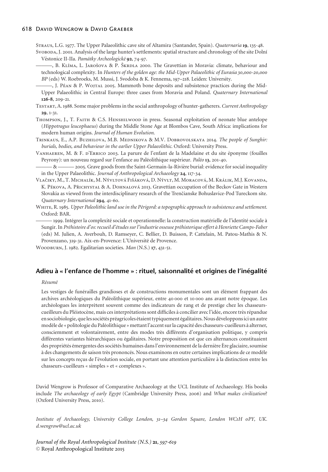### 618 David Wengrow & David Graeber

Straus, L.G. 1977. The Upper Palaeolithic cave site of Altamira (Santander, Spain). *Quaternaria* **19**, 135-48. SVOBODA, J. 2001. Analysis of the large hunter's settlements: spatial structure and chronology of the site Dolní Věstonice II-IIa. Památky Archeologické 92, 74-97.

———, B. Klıma ´ , L. Jarosova ˇ & P. Skrdla 2000 ˇ . The Gravettian in Moravia: climate, behaviour and technological complexity. In *Hunters of the golden age: the Mid-Upper Palaeolithic of Eurasia 30,000-20,000 BP* (eds) W. Roebroeks, M. Mussi, J. Svodoba & K. Fennema, 197–218. Leiden: University.

———, J. Pean ´ & P. Wojtal 2005. Mammoth bone deposits and subsistence practices during the Mid-Upper Palaeolithic in Central Europe: three cases from Moravia and Poland. *Quaternary International* **126-8**, 209-21.

- Testart, A. 1988. Some major problems in the social anthropology of hunter-gatherers. *Current Anthropology* **29**, 1-31.
- THOMPSON, J., T. FAITH & C.S. HENSHILWOOD in press. Seasonal exploitation of neonate blue antelope (*Hippotragus leucophaeus*) during the Middle Stone Age at Blombos Cave, South Africa: implications for modern human origins. *Journal of Human Evolution*.
- Trinkaus, E., A.P. Buzhilova, M.B. Mednikova & M.V. Dobrovolskaya 2014. *The people of Sunghir: burials, bodies, and behaviour in the earlier Upper Palaeolithic*. Oxford: University Press.

Vanhaeren, M. & F. d'Errico 2003. La parure de l'enfant de la Madelaine et du site eponyme (fouilles ´ Peyrony): un nouveau regard sur l'enfance au Paléolithique supérieur. Paléo 13, 201-40.

 $-8$  ——— 2005. Grave goods from the Saint-Germain-la-Rivière burial: evidence for social inequality in the Upper Palaeolithic. *Journal of Anthropological Archaeology* **24**, 117-34.

Vlačiky, M., T. Michalík, M. Nývltová Fišáková, D. Nývlt, M. Moracová, M. Králik, M.J. Kovanda, K. Pékova, A. Přichystal & A. Dohnalová 2013. Gravettian occupation of the Beckov Gate in Western Slovakia as viewed from the interdisciplinary research of the Trenčianske Bohuslavice-Pod Tureckom site. *Quaternary International* **294**, 41-60.

White, R. 1985. *Upper Paleolithic land use in the P´erigord: a topographic approach to subsistence and settlement*. Oxford: BAR.

– 1999. Intégrer la complexité sociale et operationnelle: la construction matérielle de l'identité sociale à Sungir. In *Pr´ehistoire d'os: recueil d'´etudes sur l'industrie osseuse pr´ehistorique offert `a Henriette Camps-Faber* (eds) M. Julien, A. Averbouh, D. Ramseyer, C. Bellier, D. Buisson, P. Cattelain, M. Patou-Mathis & N. Provenzano, 319-31. Aix-en-Provence: L'Université de Provence.

Woodburn, J. 1982. Egalitarian societies. *Man* (N.S.) **17**, 431-51.

# Adieu à « l'enfance de l'homme » : rituel, saisonnalité et origines de l'inégalité

## *R´esum´e*

Les vestiges de funérailles grandioses et de constructions monumentales sont un élément frappant des archives archéologiques du Paléolithique supérieur, entre 40 000 et 10 000 ans avant notre époque. Les archéologues les interprètent souvent comme des indicateurs de rang et de prestige chez les chasseurscueilleurs du Pléistocène, mais ces interprétations sont difficiles à concilier avec l'idée, encore très répandue en sociobiologie, que les sociétés préagricoles étaient typiquement égalitaires. Nous développons ici un autre modèle de « politologie du Paléolithique » mettant l'accent sur la capacité des chasseurs-cueilleurs à alterner, consciemment et volontairement, entre des modes très différents d'organisation politique, y compris différentes variantes hiérarchiques ou égalitaires. Notre proposition est que ces alternances constituaient des propriétés émergentes des sociétés humaines dans l'environnement de la dernière Ére glaciaire, soumise à des changements de saison très prononcés. Nous examinons en outre certaines implications de ce modèle sur les concepts reçus de l'évolution sociale, en portant une attention particulière à la distinction entre les chasseurs-cueilleurs « simples » et « complexes ».

David Wengrow is Professor of Comparative Archaeology at the UCL Institute of Archaeology. His books include *The archaeology of early Egypt* (Cambridge University Press, 2006) and *What makes civilization*? (Oxford University Press, 2010).

*Institute of Archaeology, University College London, 31–34 Gordon Square, London WC1H 0PY, UK. d.wengrow@ucl.ac.uk*

*Journal of the Royal Anthropological Institute (N.S.)* **21**, *597-619* -<sup>C</sup> Royal Anthropological Institute 2015